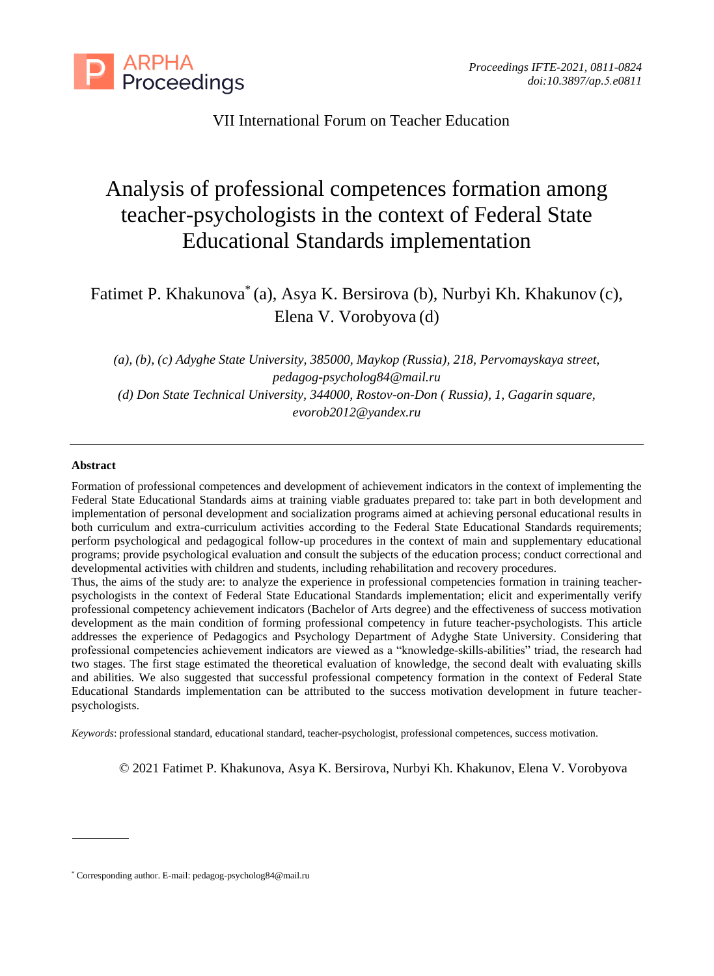

### VII International Forum on Teacher Education

# Analysis of professional competences formation among teacher-psychologists in the context of Federal State Educational Standards implementation

## Fatimet P. Khakunova\* (a), Asya K. Bersirova (b), Nurbyi Kh. Khakunov (c), Elena V. Vorobyova (d)

*(a), (b), (c) Adyghe State University, 385000, Maykop (Russia), 218, Pervomayskaya street, [pedagog-psycholog84@mail.ru](mailto:pedagog-psycholog84@mail.ru) (d) Don State Technical University, 344000, Rostov-on-Don ( Russia), 1, Gagarin square, evorob2012@yandex.ru*

#### **Abstract**

Formation of professional competences and development of achievement indicators in the context of implementing the Federal State Educational Standards aims at training viable graduates prepared to: take part in both development and implementation of personal development and socialization programs aimed at achieving personal educational results in both curriculum and extra-curriculum activities according to the Federal State Educational Standards requirements; perform psychological and pedagogical follow-up procedures in the context of main and supplementary educational programs; provide psychological evaluation and consult the subjects of the education process; conduct correctional and developmental activities with children and students, including rehabilitation and recovery procedures.

Thus, the aims of the study are: to analyze the experience in professional competencies formation in training teacherpsychologists in the context of Federal State Educational Standards implementation; elicit and experimentally verify professional competency achievement indicators (Bachelor of Arts degree) and the effectiveness of success motivation development as the main condition of forming professional competency in future teacher-psychologists. This article addresses the experience of Pedagogics and Psychology Department of Adyghe State University. Considering that professional competencies achievement indicators are viewed as a "knowledge-skills-abilities" triad, the research had two stages. The first stage estimated the theoretical evaluation of knowledge, the second dealt with evaluating skills and abilities. We also suggested that successful professional competency formation in the context of Federal State Educational Standards implementation can be attributed to the success motivation development in future teacherpsychologists.

*Keywords*: professional standard, educational standard, teacher-psychologist, professional competences, success motivation.

© 2021 Fatimet P. Khakunova, Asya K. Bersirova, Nurbyi Kh. Khakunov, Elena V. Vorobyova

<sup>\*</sup> Corresponding author. E-mail: pedagog-psycholog84@mail.ru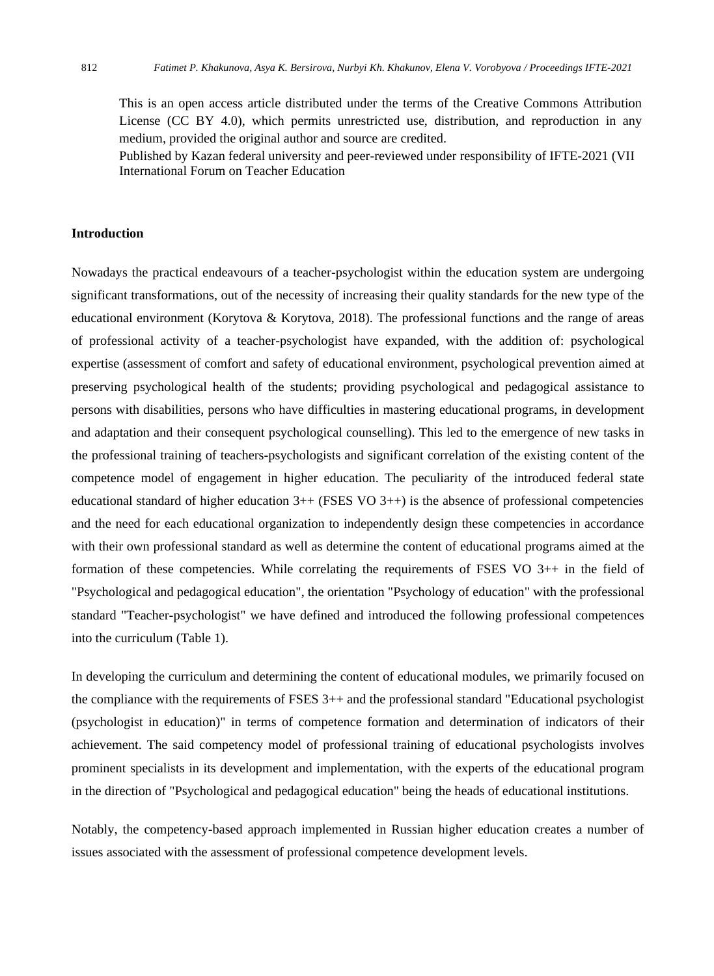This is an open access article distributed under the terms of the Creative Commons Attribution License (CC BY 4.0), which permits unrestricted use, distribution, and reproduction in any medium, provided the original author and source are credited.

Published by Kazan federal university and peer-reviewed under responsibility of IFTE-2021 (VII International Forum on Teacher Education

#### **Introduction**

Nowadays the practical endeavours of a teacher-psychologist within the education system are undergoing significant transformations, out of the necessity of increasing their quality standards for the new type of the educational environment (Korytova & Korytova, 2018). The professional functions and the range of areas of professional activity of a teacher-psychologist have expanded, with the addition of: psychological expertise (assessment of comfort and safety of educational environment, psychological prevention aimed at preserving psychological health of the students; providing psychological and pedagogical assistance to persons with disabilities, persons who have difficulties in mastering educational programs, in development and adaptation and their consequent psychological counselling). This led to the emergence of new tasks in the professional training of teachers-psychologists and significant correlation of the existing content of the competence model of engagement in higher education. The peculiarity of the introduced federal state educational standard of higher education  $3++$  (FSES VO  $3++$ ) is the absence of professional competencies and the need for each educational organization to independently design these competencies in accordance with their own professional standard as well as determine the content of educational programs aimed at the formation of these competencies. While correlating the requirements of FSES VO  $3++$  in the field of "Psychological and pedagogical education", the orientation "Psychology of education" with the professional standard "Teacher-psychologist" we have defined and introduced the following professional competences into the curriculum (Table 1).

In developing the curriculum and determining the content of educational modules, we primarily focused on the compliance with the requirements of FSES 3++ and the professional standard "Educational psychologist (psychologist in education)" in terms of competence formation and determination of indicators of their achievement. The said competency model of professional training of educational psychologists involves prominent specialists in its development and implementation, with the experts of the educational program in the direction of "Psychological and pedagogical education" being the heads of educational institutions.

Notably, the competency-based approach implemented in Russian higher education creates a number of issues associated with the assessment of professional competence development levels.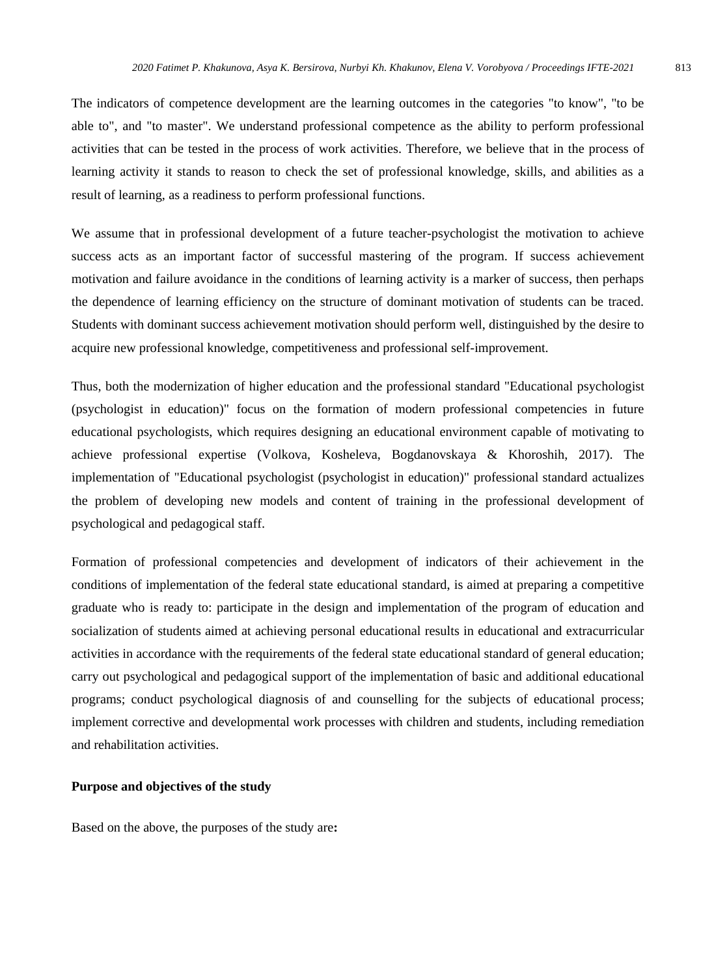The indicators of competence development are the learning outcomes in the categories "to know", "to be able to", and "to master". We understand professional competence as the ability to perform professional activities that can be tested in the process of work activities. Therefore, we believe that in the process of learning activity it stands to reason to check the set of professional knowledge, skills, and abilities as a result of learning, as a readiness to perform professional functions.

We assume that in professional development of a future teacher-psychologist the motivation to achieve success acts as an important factor of successful mastering of the program. If success achievement motivation and failure avoidance in the conditions of learning activity is a marker of success, then perhaps the dependence of learning efficiency on the structure of dominant motivation of students can be traced. Students with dominant success achievement motivation should perform well, distinguished by the desire to acquire new professional knowledge, competitiveness and professional self-improvement.

Thus, both the modernization of higher education and the professional standard "Educational psychologist (psychologist in education)" focus on the formation of modern professional competencies in future educational psychologists, which requires designing an educational environment capable of motivating to achieve professional expertise (Volkova, Kosheleva, Bogdanovskaya & Khoroshih, 2017). The implementation of "Educational psychologist (psychologist in education)" professional standard actualizes the problem of developing new models and content of training in the professional development of psychological and pedagogical staff.

Formation of professional competencies and development of indicators of their achievement in the conditions of implementation of the federal state educational standard, is aimed at preparing a competitive graduate who is ready to: participate in the design and implementation of the program of education and socialization of students aimed at achieving personal educational results in educational and extracurricular activities in accordance with the requirements of the federal state educational standard of general education; carry out psychological and pedagogical support of the implementation of basic and additional educational programs; conduct psychological diagnosis of and counselling for the subjects of educational process; implement corrective and developmental work processes with children and students, including remediation and rehabilitation activities.

#### **Purpose and objectives of the study**

Based on the above, the purposes of the study are**:**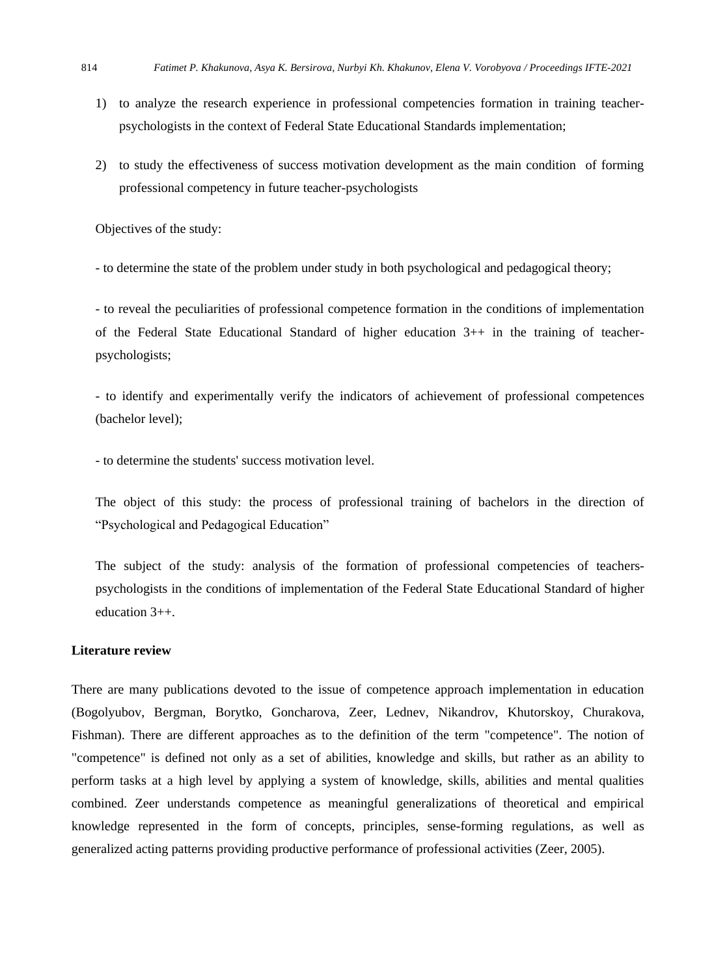- 1) to analyze the research experience in professional competencies formation in training teacherpsychologists in the context of Federal State Educational Standards implementation;
- 2) to study the effectiveness of success motivation development as the main condition of forming professional competency in future teacher-psychologists

Objectives of the study:

- to determine the state of the problem under study in both psychological and pedagogical theory;

- to reveal the peculiarities of professional competence formation in the conditions of implementation of the Federal State Educational Standard of higher education 3++ in the training of teacherpsychologists;

- to identify and experimentally verify the indicators of achievement of professional competences (bachelor level);

- to determine the students' success motivation level.

The object of this study: the process of professional training of bachelors in the direction of "Psychological and Pedagogical Education"

The subject of the study: analysis of the formation of professional competencies of teacherspsychologists in the conditions of implementation of the Federal State Educational Standard of higher education 3++.

#### **Literature review**

There are many publications devoted to the issue of competence approach implementation in education (Bogolyubov, Bergman, Borytko, Goncharova, Zeer, Lednev, Nikandrov, Khutorskoy, Churakova, Fishman). There are different approaches as to the definition of the term "competence". The notion of "competence" is defined not only as a set of abilities, knowledge and skills, but rather as an ability to perform tasks at a high level by applying a system of knowledge, skills, abilities and mental qualities combined. Zeer understands competence as meaningful generalizations of theoretical and empirical knowledge represented in the form of concepts, principles, sense-forming regulations, as well as generalized acting patterns providing productive performance of professional activities (Zeer, 2005).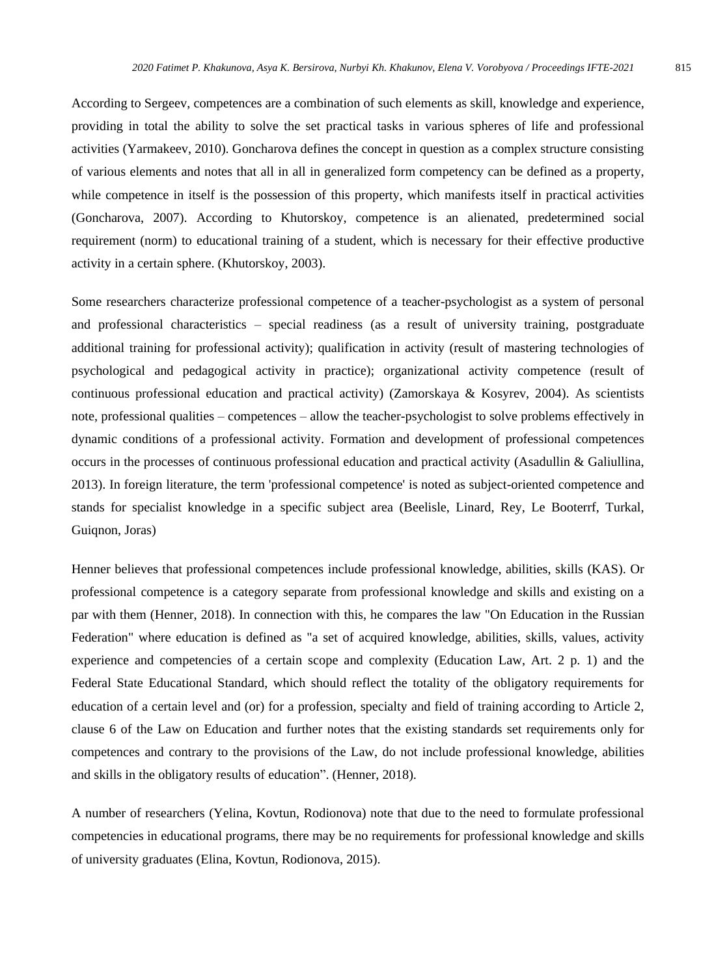According to Sergeev, competences are a combination of such elements as skill, knowledge and experience, providing in total the ability to solve the set practical tasks in various spheres of life and professional activities (Yarmakeev, 2010). Goncharova defines the concept in question as a complex structure consisting of various elements and notes that all in all in generalized form competency can be defined as a property, while competence in itself is the possession of this property, which manifests itself in practical activities (Goncharova, 2007). According to Khutorskoy, competence is an alienated, predetermined social requirement (norm) to educational training of a student, which is necessary for their effective productive activity in a certain sphere. (Khutorskoy, 2003).

Some researchers characterize professional competence of a teacher-psychologist as a system of personal and professional characteristics – special readiness (as a result of university training, postgraduate additional training for professional activity); qualification in activity (result of mastering technologies of psychological and pedagogical activity in practice); organizational activity competence (result of continuous professional education and practical activity) (Zamorskaya & Kosyrev, 2004). As scientists note, professional qualities – competences – allow the teacher-psychologist to solve problems effectively in dynamic conditions of a professional activity. Formation and development of professional competences occurs in the processes of continuous professional education and practical activity (Asadullin & Galiullina, 2013). In foreign literature, the term 'professional competence' is noted as subject-oriented competence and stands for specialist knowledge in a specific subject area (Beelisle, Linard, Rey, Le Booterrf, Turkal, Guiqnon, Joras)

Henner believes that professional competences include professional knowledge, abilities, skills (KAS). Or professional competence is a category separate from professional knowledge and skills and existing on a par with them (Henner, 2018). In connection with this, he compares the law "On Education in the Russian Federation" where education is defined as "a set of acquired knowledge, abilities, skills, values, activity experience and competencies of a certain scope and complexity (Education Law, Art. 2 p. 1) and the Federal State Educational Standard, which should reflect the totality of the obligatory requirements for education of a certain level and (or) for a profession, specialty and field of training according to Article 2, clause 6 of the Law on Education and further notes that the existing standards set requirements only for competences and contrary to the provisions of the Law, do not include professional knowledge, abilities and skills in the obligatory results of education". (Henner, 2018).

A number of researchers (Yelina, Kovtun, Rodionova) note that due to the need to formulate professional competencies in educational programs, there may be no requirements for professional knowledge and skills of university graduates (Elina, Kovtun, Rodionova, 2015).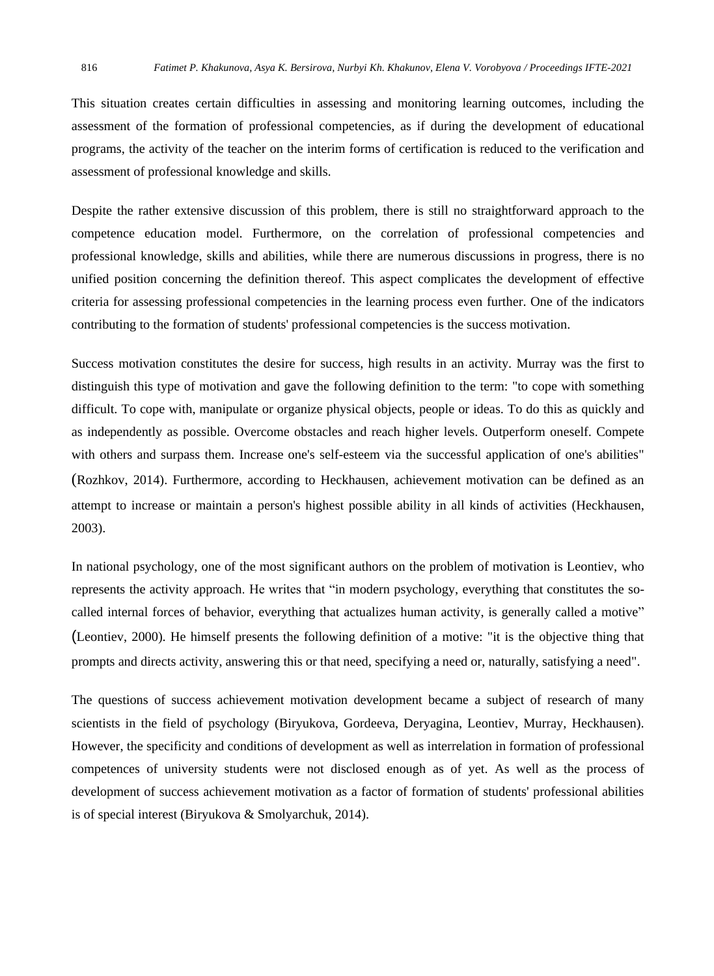This situation creates certain difficulties in assessing and monitoring learning outcomes, including the assessment of the formation of professional competencies, as if during the development of educational programs, the activity of the teacher on the interim forms of certification is reduced to the verification and assessment of professional knowledge and skills.

Despite the rather extensive discussion of this problem, there is still no straightforward approach to the competence education model. Furthermore, on the correlation of professional competencies and professional knowledge, skills and abilities, while there are numerous discussions in progress, there is no unified position concerning the definition thereof. This aspect complicates the development of effective criteria for assessing professional competencies in the learning process even further. One of the indicators contributing to the formation of students' professional competencies is the success motivation.

Success motivation constitutes the desire for success, high results in an activity. Murray was the first to distinguish this type of motivation and gave the following definition to the term: "to cope with something difficult. To cope with, manipulate or organize physical objects, people or ideas. To do this as quickly and as independently as possible. Overcome obstacles and reach higher levels. Outperform oneself. Compete with others and surpass them. Increase one's self-esteem via the successful application of one's abilities" (Rozhkov, 2014). Furthermore, according to Heckhausen, achievement motivation can be defined as an attempt to increase or maintain a person's highest possible ability in all kinds of activities (Heckhausen, 2003).

In national psychology, one of the most significant authors on the problem of motivation is Leontiev, who represents the activity approach. He writes that "in modern psychology, everything that constitutes the socalled internal forces of behavior, everything that actualizes human activity, is generally called a motive" (Leontiev, 2000). He himself presents the following definition of a motive: "it is the objective thing that prompts and directs activity, answering this or that need, specifying a need or, naturally, satisfying a need".

The questions of success achievement motivation development became a subject of research of many scientists in the field of psychology (Biryukova, Gordeeva, Deryagina, Leontiev, Murray, Heckhausen). However, the specificity and conditions of development as well as interrelation in formation of professional competences of university students were not disclosed enough as of yet. As well as the process of development of success achievement motivation as a factor of formation of students' professional abilities is of special interest (Biryukova & Smolyarchuk, 2014).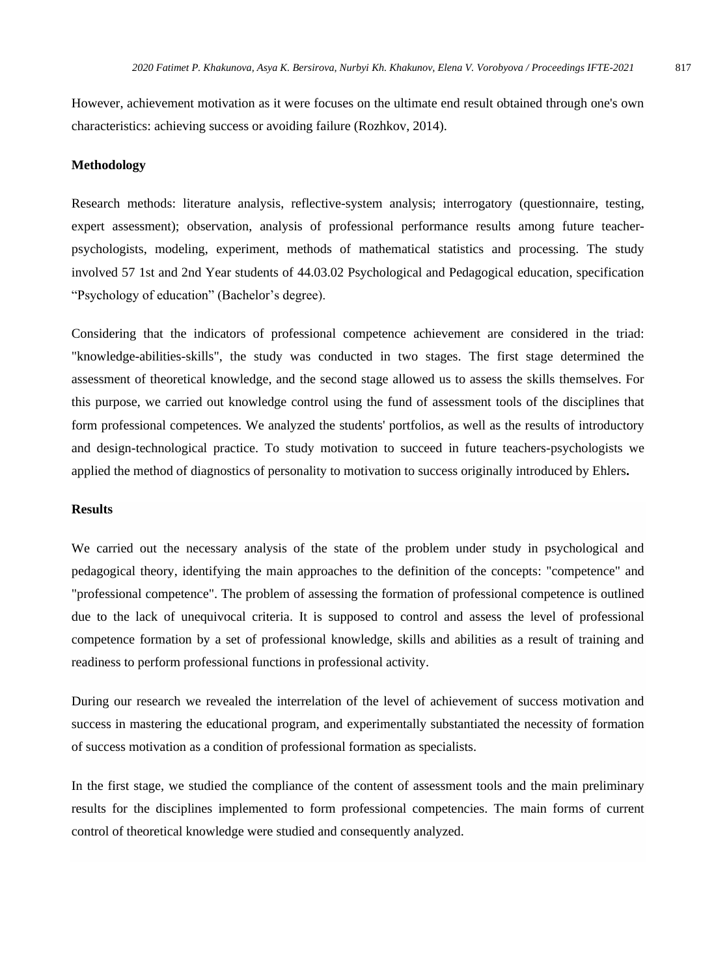However, achievement motivation as it were focuses on the ultimate end result obtained through one's own characteristics: achieving success or avoiding failure (Rozhkov, 2014).

#### **Methodology**

Research methods: literature analysis, reflective-system analysis; interrogatory (questionnaire, testing, expert assessment); observation, analysis of professional performance results among future teacherpsychologists, modeling, experiment, methods of mathematical statistics and processing. The study involved 57 1st and 2nd Year students of 44.03.02 Psychological and Pedagogical education, specification "Psychology of education" (Bachelor's degree).

Considering that the indicators of professional competence achievement are considered in the triad: "knowledge-abilities-skills", the study was conducted in two stages. The first stage determined the assessment of theoretical knowledge, and the second stage allowed us to assess the skills themselves. For this purpose, we carried out knowledge control using the fund of assessment tools of the disciplines that form professional competences. We analyzed the students' portfolios, as well as the results of introductory and design-technological practice. To study motivation to succeed in future teachers-psychologists we applied the method of diagnostics of personality to motivation to success originally introduced by Ehlers**.**

#### **Results**

We carried out the necessary analysis of the state of the problem under study in psychological and pedagogical theory, identifying the main approaches to the definition of the concepts: "competence" and "professional competence". The problem of assessing the formation of professional competence is outlined due to the lack of unequivocal criteria. It is supposed to control and assess the level of professional competence formation by a set of professional knowledge, skills and abilities as a result of training and readiness to perform professional functions in professional activity.

During our research we revealed the interrelation of the level of achievement of success motivation and success in mastering the educational program, and experimentally substantiated the necessity of formation of success motivation as a condition of professional formation as specialists.

In the first stage, we studied the compliance of the content of assessment tools and the main preliminary results for the disciplines implemented to form professional competencies. The main forms of current control of theoretical knowledge were studied and consequently analyzed.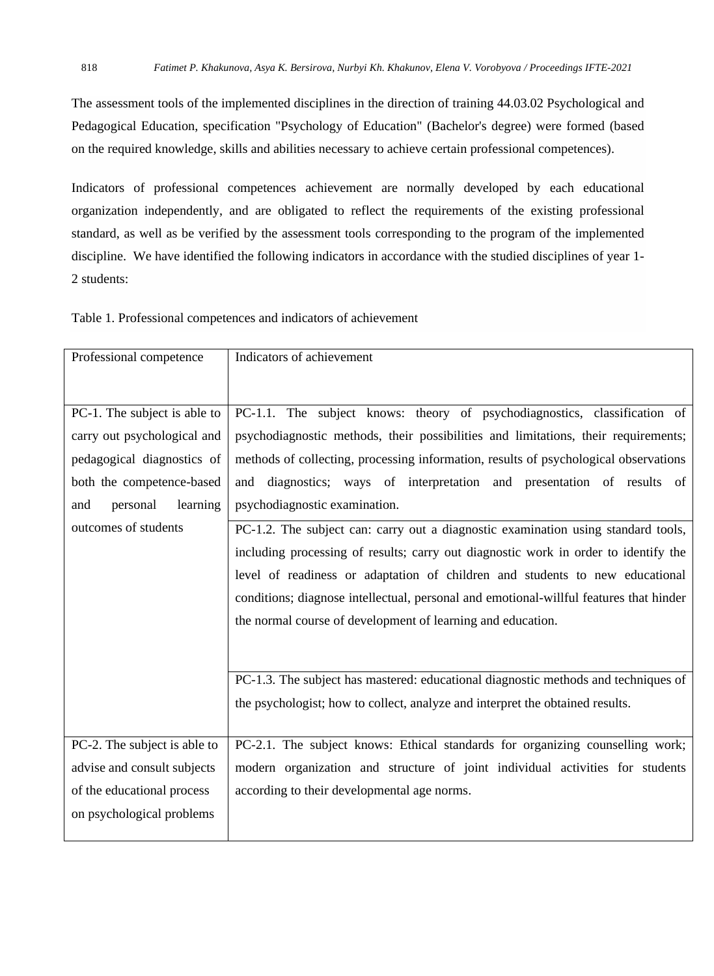The assessment tools of the implemented disciplines in the direction of training 44.03.02 Psychological and Pedagogical Education, specification "Psychology of Education" (Bachelor's degree) were formed (based on the required knowledge, skills and abilities necessary to achieve certain professional competences).

Indicators of professional competences achievement are normally developed by each educational organization independently, and are obligated to reflect the requirements of the existing professional standard, as well as be verified by the assessment tools corresponding to the program of the implemented discipline. We have identified the following indicators in accordance with the studied disciplines of year 1- 2 students:

Table 1. Professional competences and indicators of achievement

| Professional competence      | Indicators of achievement                                                              |
|------------------------------|----------------------------------------------------------------------------------------|
|                              |                                                                                        |
|                              |                                                                                        |
| PC-1. The subject is able to | PC-1.1. The subject knows: theory of psychodiagnostics, classification of              |
| carry out psychological and  | psychodiagnostic methods, their possibilities and limitations, their requirements;     |
| pedagogical diagnostics of   | methods of collecting, processing information, results of psychological observations   |
| both the competence-based    | and diagnostics; ways of interpretation and presentation of results of                 |
| personal<br>learning<br>and  | psychodiagnostic examination.                                                          |
| outcomes of students         | PC-1.2. The subject can: carry out a diagnostic examination using standard tools,      |
|                              | including processing of results; carry out diagnostic work in order to identify the    |
|                              | level of readiness or adaptation of children and students to new educational           |
|                              | conditions; diagnose intellectual, personal and emotional-willful features that hinder |
|                              | the normal course of development of learning and education.                            |
|                              |                                                                                        |
|                              |                                                                                        |
|                              | PC-1.3. The subject has mastered: educational diagnostic methods and techniques of     |
|                              | the psychologist; how to collect, analyze and interpret the obtained results.          |
|                              |                                                                                        |
| PC-2. The subject is able to | PC-2.1. The subject knows: Ethical standards for organizing counselling work;          |
| advise and consult subjects  | modern organization and structure of joint individual activities for students          |
| of the educational process   | according to their developmental age norms.                                            |
| on psychological problems    |                                                                                        |
|                              |                                                                                        |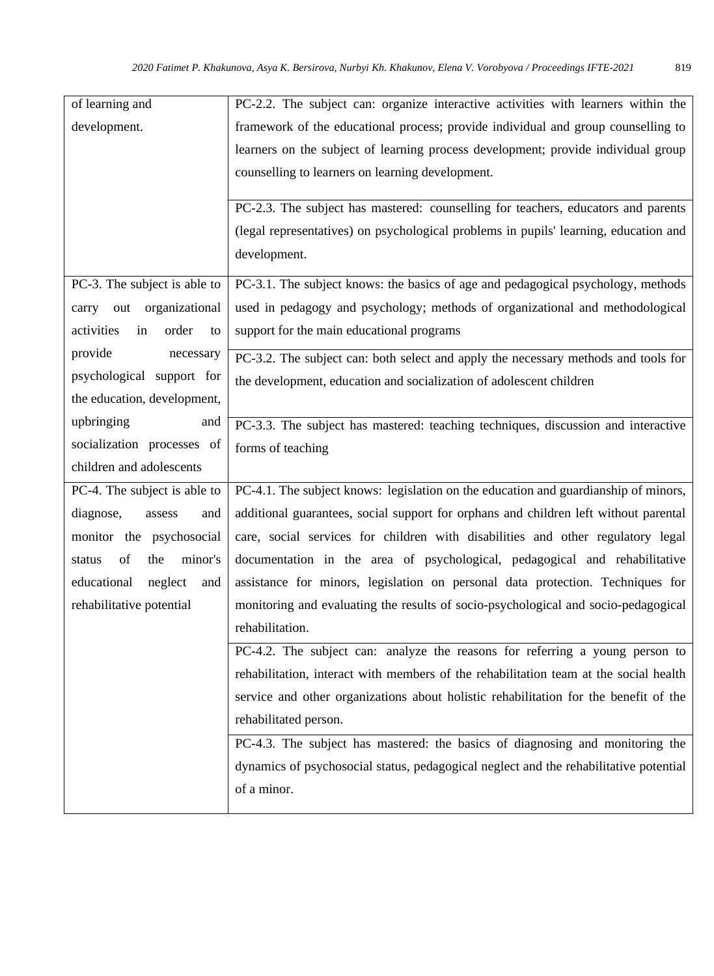| of learning and                 | PC-2.2. The subject can: organize interactive activities with learners within the     |
|---------------------------------|---------------------------------------------------------------------------------------|
| development.                    | framework of the educational process; provide individual and group counselling to     |
|                                 | learners on the subject of learning process development; provide individual group     |
|                                 | counselling to learners on learning development.                                      |
|                                 |                                                                                       |
|                                 | PC-2.3. The subject has mastered: counselling for teachers, educators and parents     |
|                                 | (legal representatives) on psychological problems in pupils' learning, education and  |
|                                 | development.                                                                          |
| PC-3. The subject is able to    | PC-3.1. The subject knows: the basics of age and pedagogical psychology, methods      |
| out organizational<br>carry     | used in pedagogy and psychology; methods of organizational and methodological         |
| activities<br>order<br>in<br>to | support for the main educational programs                                             |
| provide<br>necessary            | PC-3.2. The subject can: both select and apply the necessary methods and tools for    |
| psychological support for       | the development, education and socialization of adolescent children                   |
| the education, development,     |                                                                                       |
| upbringing<br>and               | PC-3.3. The subject has mastered: teaching techniques, discussion and interactive     |
| socialization processes of      | forms of teaching                                                                     |
| children and adolescents        |                                                                                       |
| PC-4. The subject is able to    | PC-4.1. The subject knows: legislation on the education and guardianship of minors,   |
| diagnose,<br>assess<br>and      | additional guarantees, social support for orphans and children left without parental  |
| monitor the psychosocial        | care, social services for children with disabilities and other regulatory legal       |
| minor's<br>of<br>the<br>status  | documentation in the area of psychological, pedagogical and rehabilitative            |
| educational<br>neglect<br>and   | assistance for minors, legislation on personal data protection. Techniques for        |
| rehabilitative potential        | monitoring and evaluating the results of socio-psychological and socio-pedagogical    |
|                                 | rehabilitation.                                                                       |
|                                 | PC-4.2. The subject can: analyze the reasons for referring a young person to          |
|                                 | rehabilitation, interact with members of the rehabilitation team at the social health |
|                                 | service and other organizations about holistic rehabilitation for the benefit of the  |
|                                 | rehabilitated person.                                                                 |
|                                 | PC-4.3. The subject has mastered: the basics of diagnosing and monitoring the         |
|                                 | dynamics of psychosocial status, pedagogical neglect and the rehabilitative potential |
|                                 | of a minor.                                                                           |
|                                 |                                                                                       |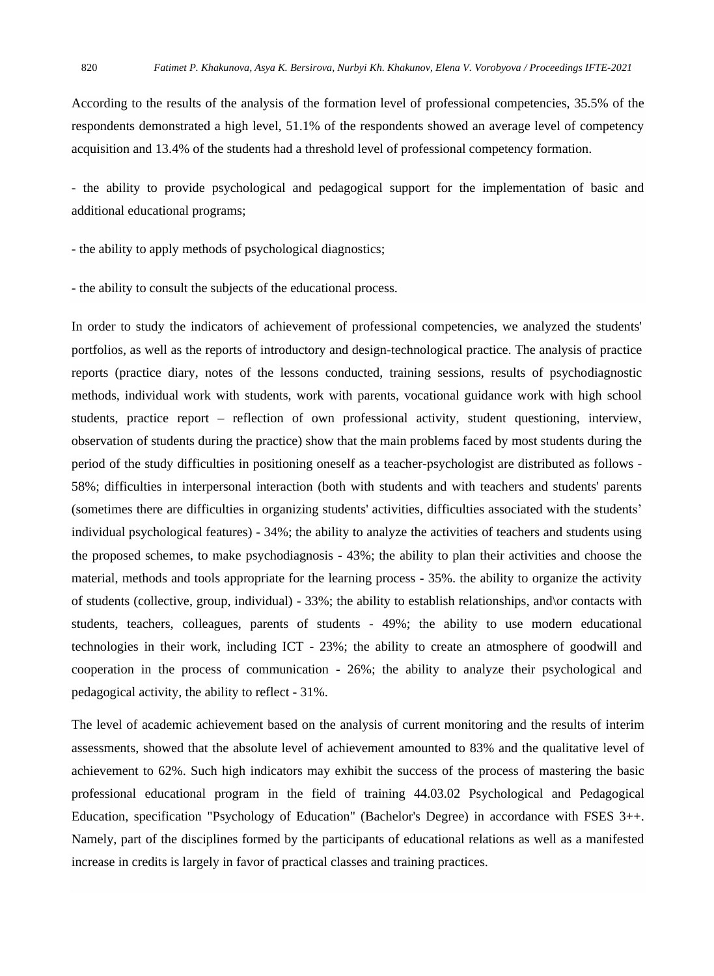According to the results of the analysis of the formation level of professional competencies, 35.5% of the respondents demonstrated a high level, 51.1% of the respondents showed an average level of competency acquisition and 13.4% of the students had a threshold level of professional competency formation.

- the ability to provide psychological and pedagogical support for the implementation of basic and additional educational programs;

- the ability to apply methods of psychological diagnostics;

- the ability to consult the subjects of the educational process.

In order to study the indicators of achievement of professional competencies, we analyzed the students' portfolios, as well as the reports of introductory and design-technological practice. The analysis of practice reports (practice diary, notes of the lessons conducted, training sessions, results of psychodiagnostic methods, individual work with students, work with parents, vocational guidance work with high school students, practice report – reflection of own professional activity, student questioning, interview, observation of students during the practice) show that the main problems faced by most students during the period of the study difficulties in positioning oneself as a teacher-psychologist are distributed as follows - 58%; difficulties in interpersonal interaction (both with students and with teachers and students' parents (sometimes there are difficulties in organizing students' activities, difficulties associated with the students' individual psychological features) - 34%; the ability to analyze the activities of teachers and students using the proposed schemes, to make psychodiagnosis - 43%; the ability to plan their activities and choose the material, methods and tools appropriate for the learning process - 35%. the ability to organize the activity of students (collective, group, individual) - 33%; the ability to establish relationships, and\or contacts with students, teachers, colleagues, parents of students - 49%; the ability to use modern educational technologies in their work, including ICT - 23%; the ability to create an atmosphere of goodwill and cooperation in the process of communication - 26%; the ability to analyze their psychological and pedagogical activity, the ability to reflect - 31%.

The level of academic achievement based on the analysis of current monitoring and the results of interim assessments, showed that the absolute level of achievement amounted to 83% and the qualitative level of achievement to 62%. Such high indicators may exhibit the success of the process of mastering the basic professional educational program in the field of training 44.03.02 Psychological and Pedagogical Education, specification "Psychology of Education" (Bachelor's Degree) in accordance with FSES 3++. Namely, part of the disciplines formed by the participants of educational relations as well as a manifested increase in credits is largely in favor of practical classes and training practices.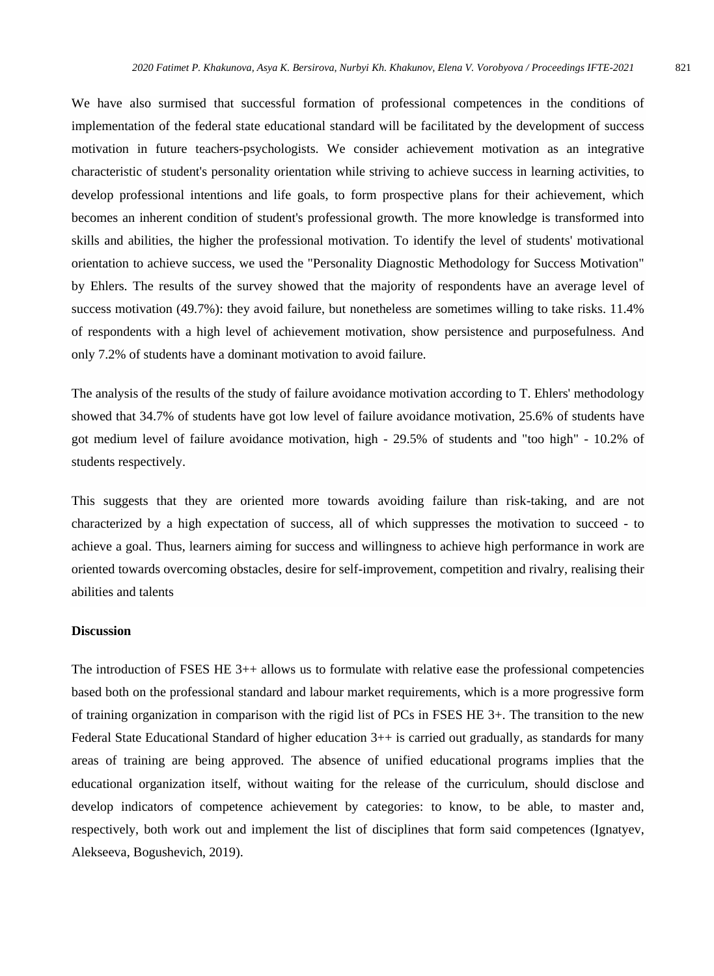We have also surmised that successful formation of professional competences in the conditions of implementation of the federal state educational standard will be facilitated by the development of success motivation in future teachers-psychologists. We consider achievement motivation as an integrative characteristic of student's personality orientation while striving to achieve success in learning activities, to develop professional intentions and life goals, to form prospective plans for their achievement, which becomes an inherent condition of student's professional growth. The more knowledge is transformed into skills and abilities, the higher the professional motivation. To identify the level of students' motivational orientation to achieve success, we used the "Personality Diagnostic Methodology for Success Motivation" by Ehlers. The results of the survey showed that the majority of respondents have an average level of success motivation (49.7%): they avoid failure, but nonetheless are sometimes willing to take risks. 11.4% of respondents with a high level of achievement motivation, show persistence and purposefulness. And only 7.2% of students have a dominant motivation to avoid failure.

The analysis of the results of the study of failure avoidance motivation according to T. Ehlers' methodology showed that 34.7% of students have got low level of failure avoidance motivation, 25.6% of students have got medium level of failure avoidance motivation, high - 29.5% of students and "too high" - 10.2% of students respectively.

This suggests that they are oriented more towards avoiding failure than risk-taking, and are not characterized by a high expectation of success, all of which suppresses the motivation to succeed - to achieve a goal. Thus, learners aiming for success and willingness to achieve high performance in work are oriented towards overcoming obstacles, desire for self-improvement, competition and rivalry, realising their abilities and talents

#### **Discussion**

The introduction of FSES HE 3++ allows us to formulate with relative ease the professional competencies based both on the professional standard and labour market requirements, which is a more progressive form of training organization in comparison with the rigid list of PCs in FSES HE 3+. The transition to the new Federal State Educational Standard of higher education 3++ is carried out gradually, as standards for many areas of training are being approved. The absence of unified educational programs implies that the educational organization itself, without waiting for the release of the curriculum, should disclose and develop indicators of competence achievement by categories: to know, to be able, to master and, respectively, both work out and implement the list of disciplines that form said competences (Ignatyev, Alekseeva, Bogushevich, 2019).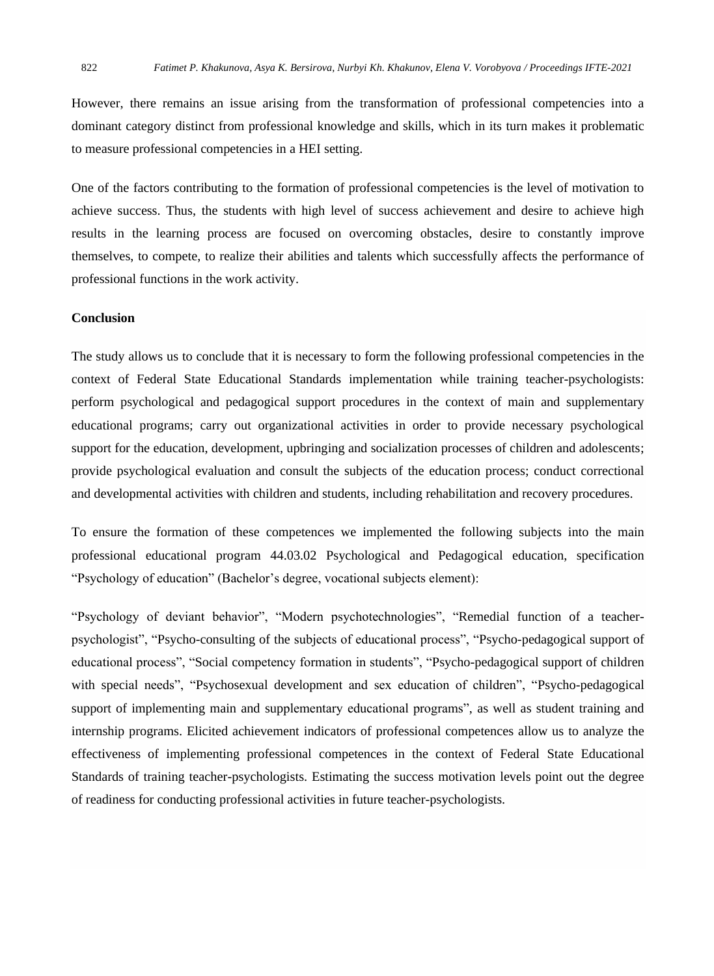However, there remains an issue arising from the transformation of professional competencies into a dominant category distinct from professional knowledge and skills, which in its turn makes it problematic to measure professional competencies in a HEI setting.

One of the factors contributing to the formation of professional competencies is the level of motivation to achieve success. Thus, the students with high level of success achievement and desire to achieve high results in the learning process are focused on overcoming obstacles, desire to constantly improve themselves, to compete, to realize their abilities and talents which successfully affects the performance of professional functions in the work activity.

#### **Conclusion**

The study allows us to conclude that it is necessary to form the following professional competencies in the context of Federal State Educational Standards implementation while training teacher-psychologists: perform psychological and pedagogical support procedures in the context of main and supplementary educational programs; carry out organizational activities in order to provide necessary psychological support for the education, development, upbringing and socialization processes of children and adolescents; provide psychological evaluation and consult the subjects of the education process; conduct correctional and developmental activities with children and students, including rehabilitation and recovery procedures.

To ensure the formation of these competences we implemented the following subjects into the main professional educational program 44.03.02 Psychological and Pedagogical education, specification "Psychology of education" (Bachelor's degree, vocational subjects element):

"Psychology of deviant behavior", "Modern psychotechnologies", "Remedial function of a teacherpsychologist", "Psycho-consulting of the subjects of educational process", "Psycho-pedagogical support of educational process", "Social competency formation in students", "Psycho-pedagogical support of children with special needs", "Psychosexual development and sex education of children", "Psycho-pedagogical support of implementing main and supplementary educational programs", as well as student training and internship programs. Elicited achievement indicators of professional competences allow us to analyze the effectiveness of implementing professional competences in the context of Federal State Educational Standards of training teacher-psychologists. Estimating the success motivation levels point out the degree of readiness for conducting professional activities in future teacher-psychologists.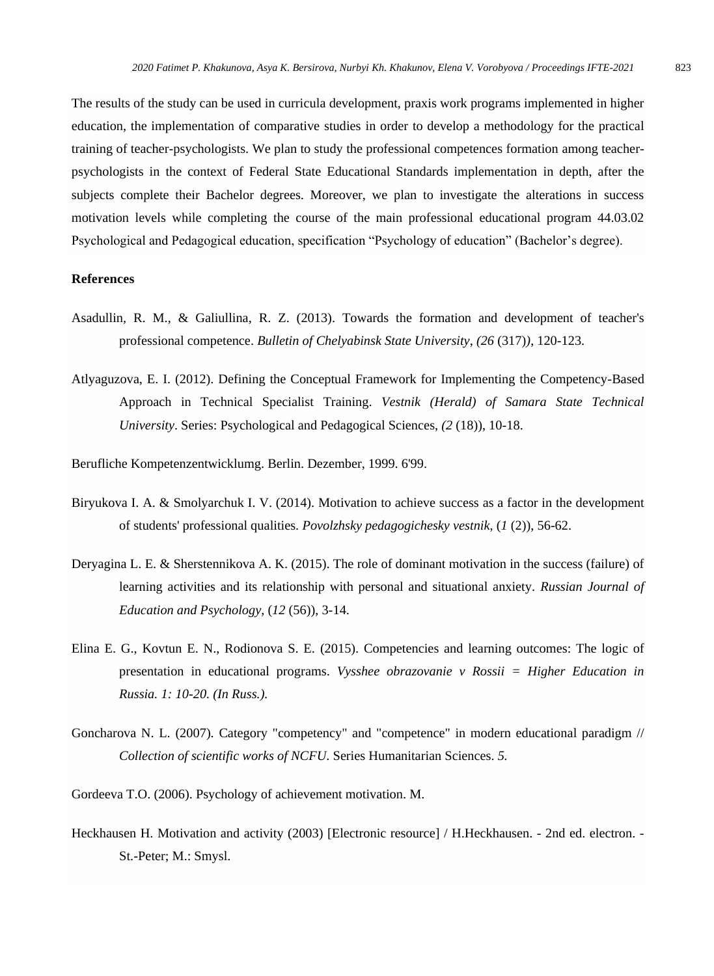The results of the study can be used in curricula development, praxis work programs implemented in higher education, the implementation of comparative studies in order to develop a methodology for the practical training of teacher-psychologists. We plan to study the professional competences formation among teacherpsychologists in the context of Federal State Educational Standards implementation in depth, after the subjects complete their Bachelor degrees. Moreover, we plan to investigate the alterations in success motivation levels while completing the course of the main professional educational program 44.03.02 Psychological and Pedagogical education, specification "Psychology of education" (Bachelor's degree).

#### **References**

- Asadullin, R. M., & Galiullina, R. Z. (2013). Towards the formation and development of teacher's professional competence. *Bulletin of Chelyabinsk State University*, *(26* (317)*)*, 120-123.
- Atlyaguzova, E. I. (2012). Defining the Conceptual Framework for Implementing the Competency-Based Approach in Technical Specialist Training. *Vestnik (Herald) of Samara State Technical University*. Series: Psychological and Pedagogical Sciences, *(2* (18)), 10-18.

Berufliche Kompetenzentwicklumg. Berlin. Dezember, 1999. 6'99.

- Biryukova I. A. & Smolyarchuk I. V. (2014). Motivation to achieve success as a factor in the development of students' professional qualities. *Povolzhsky pedagogichesky vestnik*, (*1* (2)), 56-62.
- Deryagina L. E. & Sherstennikova A. K. (2015). The role of dominant motivation in the success (failure) of learning activities and its relationship with personal and situational anxiety. *Russian Journal of Education and Psychology*, (*12* (56)), 3-14.
- Elina E. G., Kovtun E. N., Rodionova S. E. (2015). Competencies and learning outcomes: The logic of presentation in educational programs. *Vysshee obrazovanie v Rossii = Higher Education in Russia. 1: 10-20. (In Russ.).*
- Goncharova N. L. (2007). Category "competency" and "competence" in modern educational paradigm // *Collection of scientific works of NCFU*. Series Humanitarian Sciences. *5.*

Gordeeva T.O. (2006). Psychology of achievement motivation. M.

Heckhausen H. Motivation and activity (2003) [Electronic resource] / H.Heckhausen. - 2nd ed. electron. - St.-Peter; M.: Smysl.